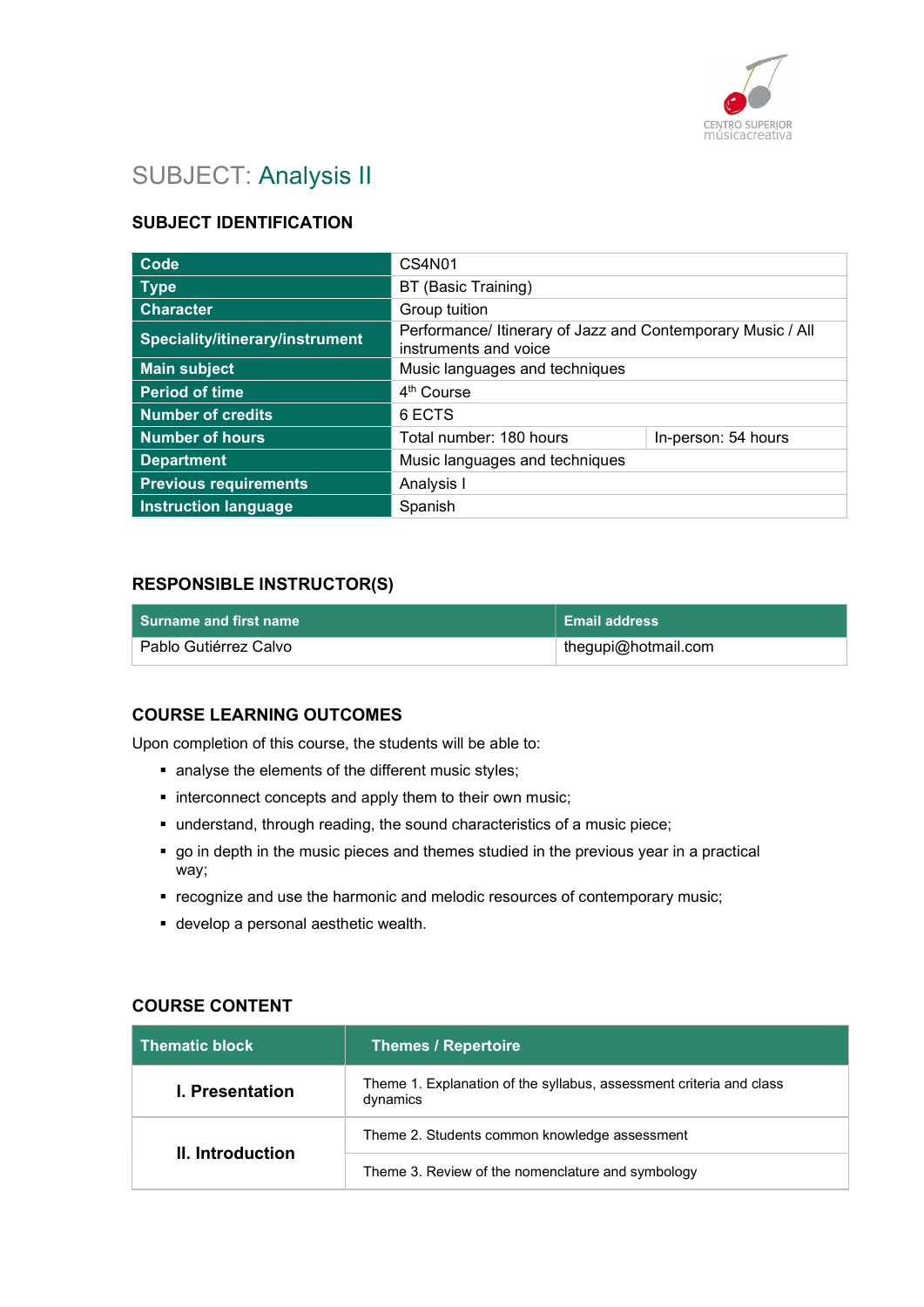

# SUBJECT: Analysis II

# SUBJECT IDENTIFICATION

| Code                            | CS4N01                                                                               |                     |
|---------------------------------|--------------------------------------------------------------------------------------|---------------------|
| <b>Type</b>                     | BT (Basic Training)                                                                  |                     |
| <b>Character</b>                | Group tuition                                                                        |                     |
| Speciality/itinerary/instrument | Performance/ Itinerary of Jazz and Contemporary Music / All<br>instruments and voice |                     |
| <b>Main subject</b>             | Music languages and techniques                                                       |                     |
| <b>Period of time</b>           | 4 <sup>th</sup> Course                                                               |                     |
| <b>Number of credits</b>        | 6 ECTS                                                                               |                     |
| <b>Number of hours</b>          | Total number: 180 hours                                                              | In-person: 54 hours |
| <b>Department</b>               | Music languages and techniques                                                       |                     |
| <b>Previous requirements</b>    | Analysis I                                                                           |                     |
| <b>Instruction language</b>     | Spanish                                                                              |                     |

### RESPONSIBLE INSTRUCTOR(S)

|                       | <b>Email address</b> |
|-----------------------|----------------------|
| Pablo Gutiérrez Calvo | thegupi@hotmail.com  |

### COURSE LEARNING OUTCOMES

Upon completion of this course, the students will be able to:

- analyse the elements of the different music styles;
- **interconnect concepts and apply them to their own music;**
- understand, through reading, the sound characteristics of a music piece;
- go in depth in the music pieces and themes studied in the previous year in a practical way;
- recognize and use the harmonic and melodic resources of contemporary music;
- develop a personal aesthetic wealth.

#### COURSE CONTENT

| <b>Thematic block</b>  | <b>Themes / Repertoire</b>                                                      |
|------------------------|---------------------------------------------------------------------------------|
| <b>I.</b> Presentation | Theme 1. Explanation of the syllabus, assessment criteria and class<br>dynamics |
| II. Introduction       | Theme 2. Students common knowledge assessment                                   |
|                        | Theme 3. Review of the nomenclature and symbology                               |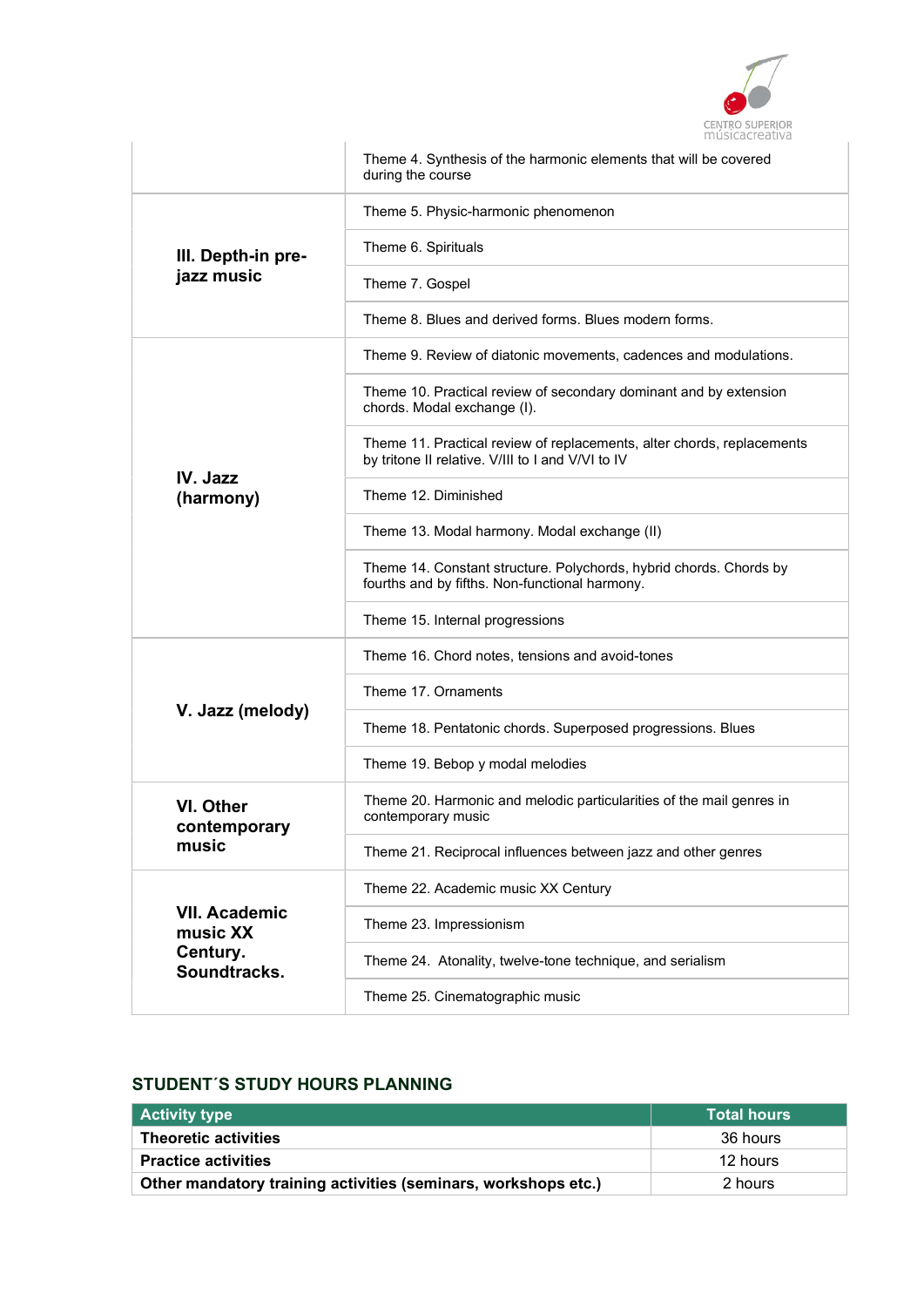

|                                  | Theme 4. Synthesis of the harmonic elements that will be covered<br>during the course                                       |
|----------------------------------|-----------------------------------------------------------------------------------------------------------------------------|
|                                  | Theme 5. Physic-harmonic phenomenon                                                                                         |
| III. Depth-in pre-               | Theme 6. Spirituals                                                                                                         |
| jazz music                       | Theme 7. Gospel                                                                                                             |
|                                  | Theme 8. Blues and derived forms. Blues modern forms.                                                                       |
|                                  | Theme 9. Review of diatonic movements, cadences and modulations.                                                            |
|                                  | Theme 10. Practical review of secondary dominant and by extension<br>chords. Modal exchange (I).                            |
| IV. Jazz                         | Theme 11. Practical review of replacements, alter chords, replacements<br>by tritone II relative. V/III to I and V/VI to IV |
| (harmony)                        | Theme 12. Diminished                                                                                                        |
|                                  | Theme 13. Modal harmony. Modal exchange (II)                                                                                |
|                                  | Theme 14. Constant structure. Polychords, hybrid chords. Chords by<br>fourths and by fifths. Non-functional harmony.        |
|                                  | Theme 15. Internal progressions                                                                                             |
|                                  | Theme 16. Chord notes, tensions and avoid-tones                                                                             |
| V. Jazz (melody)                 | Theme 17. Ornaments                                                                                                         |
|                                  | Theme 18. Pentatonic chords. Superposed progressions. Blues                                                                 |
|                                  | Theme 19. Bebop y modal melodies                                                                                            |
| VI. Other<br>contemporary        | Theme 20. Harmonic and melodic particularities of the mail genres in<br>contemporary music                                  |
| music                            | Theme 21. Reciprocal influences between jazz and other genres                                                               |
|                                  | Theme 22. Academic music XX Century                                                                                         |
| <b>VII. Academic</b><br>music XX | Theme 23. Impressionism                                                                                                     |
| Century.<br>Soundtracks.         | Theme 24. Atonality, twelve-tone technique, and serialism                                                                   |
|                                  | Theme 25. Cinematographic music                                                                                             |

# STUDENT´S STUDY HOURS PLANNING

| <b>Activity type</b>                                           | <b>Total hours</b> |
|----------------------------------------------------------------|--------------------|
| <b>Theoretic activities</b>                                    | 36 hours           |
| <b>Practice activities</b>                                     | 12 hours           |
| Other mandatory training activities (seminars, workshops etc.) | 2 hours            |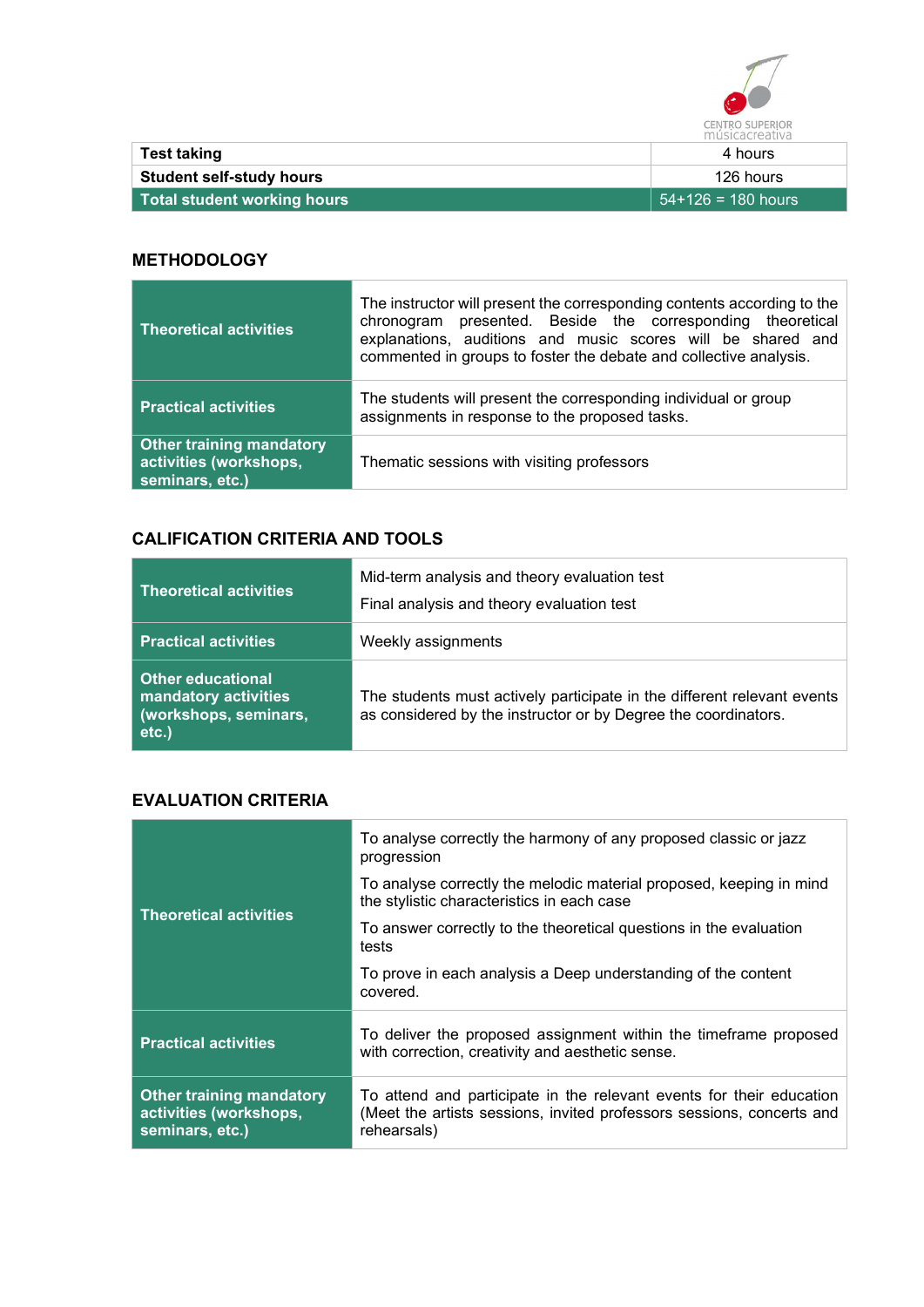

| Test taking                     | ---------------<br>4 hours |
|---------------------------------|----------------------------|
|                                 |                            |
| <b>Student self-study hours</b> | 126 hours                  |
| Total student working hours     | 54+126 = 180 hours         |

### **METHODOLOGY**

| <b>Theoretical activities</b>                                                | The instructor will present the corresponding contents according to the<br>chronogram presented. Beside the corresponding theoretical<br>explanations, auditions and music scores will be shared and<br>commented in groups to foster the debate and collective analysis. |
|------------------------------------------------------------------------------|---------------------------------------------------------------------------------------------------------------------------------------------------------------------------------------------------------------------------------------------------------------------------|
| <b>Practical activities</b>                                                  | The students will present the corresponding individual or group<br>assignments in response to the proposed tasks.                                                                                                                                                         |
| <b>Other training mandatory</b><br>activities (workshops,<br>seminars, etc.) | Thematic sessions with visiting professors                                                                                                                                                                                                                                |

# CALIFICATION CRITERIA AND TOOLS

| <b>Theoretical activities</b>                                                                 | Mid-term analysis and theory evaluation test<br>Final analysis and theory evaluation test                                                 |
|-----------------------------------------------------------------------------------------------|-------------------------------------------------------------------------------------------------------------------------------------------|
| <b>Practical activities</b>                                                                   | Weekly assignments                                                                                                                        |
| <b>Other educational</b><br>mandatory activities<br>(workshops, sem <u>inars,</u><br>$etc.$ ) | The students must actively participate in the different relevant events<br>as considered by the instructor or by Degree the coordinators. |

## EVALUATION CRITERIA

|                                                                              | To analyse correctly the harmony of any proposed classic or jazz<br>progression                                                                              |
|------------------------------------------------------------------------------|--------------------------------------------------------------------------------------------------------------------------------------------------------------|
| <b>Theoretical activities</b>                                                | To analyse correctly the melodic material proposed, keeping in mind<br>the stylistic characteristics in each case                                            |
|                                                                              | To answer correctly to the theoretical questions in the evaluation<br>tests                                                                                  |
|                                                                              | To prove in each analysis a Deep understanding of the content<br>covered.                                                                                    |
| <b>Practical activities</b>                                                  | To deliver the proposed assignment within the timeframe proposed<br>with correction, creativity and aesthetic sense.                                         |
| <b>Other training mandatory</b><br>activities (workshops,<br>seminars, etc.) | To attend and participate in the relevant events for their education<br>(Meet the artists sessions, invited professors sessions, concerts and<br>rehearsals) |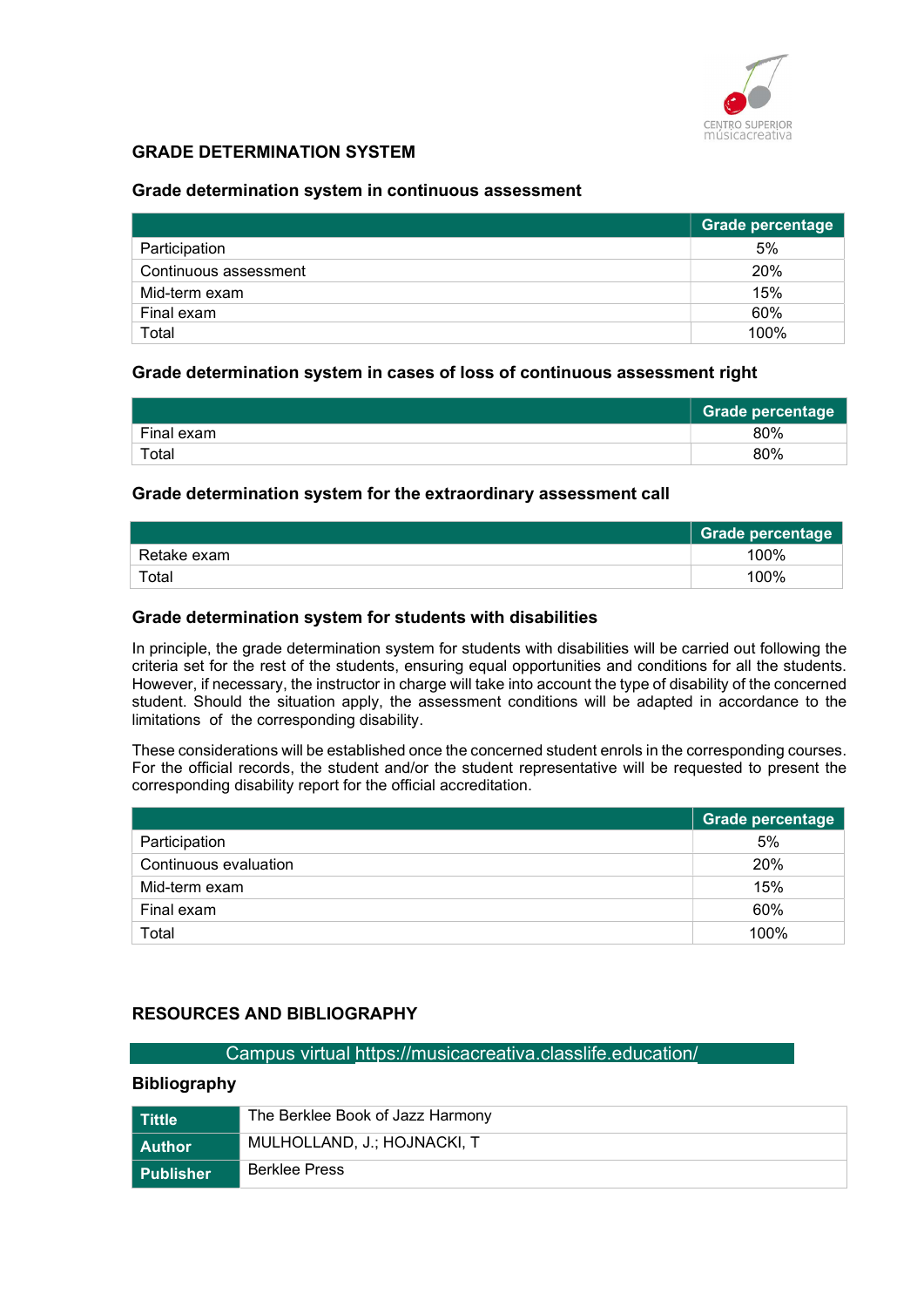

### GRADE DETERMINATION SYSTEM

#### Grade determination system in continuous assessment

|                       | Grade percentage |
|-----------------------|------------------|
| Participation         | 5%               |
| Continuous assessment | 20%              |
| Mid-term exam         | 15%              |
| Final exam            | 60%              |
| Total                 | 100%             |

#### Grade determination system in cases of loss of continuous assessment right

|            | <b>Grade percentage</b> |
|------------|-------------------------|
| Final exam | 80%                     |
| Total      | 80%                     |

#### Grade determination system for the extraordinary assessment call

|             | <b>Grade percentage</b> |
|-------------|-------------------------|
| Retake exam | 100%                    |
| Total       | 100%                    |

#### Grade determination system for students with disabilities

In principle, the grade determination system for students with disabilities will be carried out following the criteria set for the rest of the students, ensuring equal opportunities and conditions for all the students. However, if necessary, the instructor in charge will take into account the type of disability of the concerned student. Should the situation apply, the assessment conditions will be adapted in accordance to the limitations of the corresponding disability.

These considerations will be established once the concerned student enrols in the corresponding courses. For the official records, the student and/or the student representative will be requested to present the corresponding disability report for the official accreditation.

|                       | Grade percentage |
|-----------------------|------------------|
| Participation         | 5%               |
| Continuous evaluation | 20%              |
| Mid-term exam         | 15%              |
| Final exam            | 60%              |
| Total                 | 100%             |

### RESOURCES AND BIBLIOGRAPHY

#### Campus virtual https://musicacreativa.classlife.education/

#### Bibliography

| l Tittle         | The Berklee Book of Jazz Harmony |  |
|------------------|----------------------------------|--|
| l Author         | MULHOLLAND, J.; HOJNACKI, T      |  |
| <b>Publisher</b> | <b>Berklee Press</b>             |  |